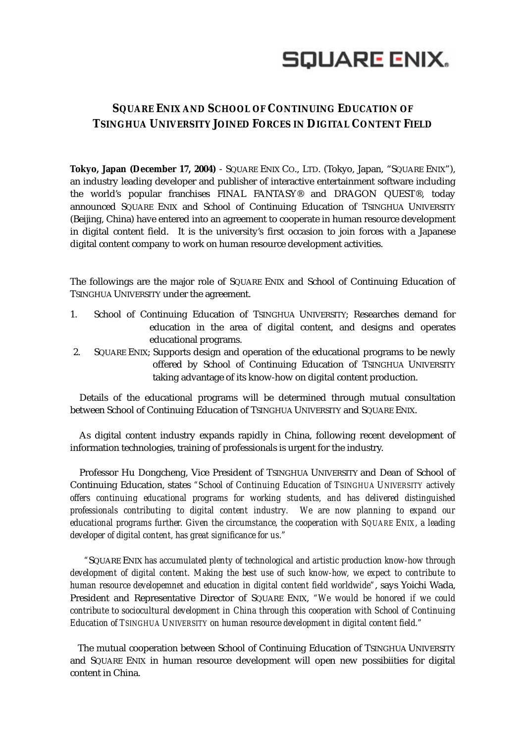

## **SQUARE ENIX AND SCHOOL OF CONTINUING EDUCATION OF TSINGHUA UNIVERSITY JOINED FORCES IN DIGITAL CONTENT FIELD**

**Tokyo, Japan (December 17, 2004)** - SQUARE ENIX CO., LTD. (Tokyo, Japan, "SQUARE ENIX"), an industry leading developer and publisher of interactive entertainment software including the world's popular franchises FINAL FANTASY® and DRAGON QUEST®, today announced SQUARE ENIX and School of Continuing Education of TSINGHUA UNIVERSITY (Beijing, China) have entered into an agreement to cooperate in human resource development in digital content field. It is the university's first occasion to join forces with a Japanese digital content company to work on human resource development activities.

The followings are the major role of SQUARE ENIX and School of Continuing Education of TSINGHUA UNIVERSITY under the agreement.

- 1. School of Continuing Education of TSINGHUA UNIVERSITY; Researches demand for education in the area of digital content, and designs and operates educational programs.
- 2. SQUARE ENIX; Supports design and operation of the educational programs to be newly offered by School of Continuing Education of TSINGHUA UNIVERSITY taking advantage of its know-how on digital content production.

Details of the educational programs will be determined through mutual consultation between School of Continuing Education of TSINGHUA UNIVERSITY and SQUARE ENIX.

As digital content industry expands rapidly in China, following recent development of information technologies, training of professionals is urgent for the industry.

Professor Hu Dongcheng, Vice President of TSINGHUA UNIVERSITY and Dean of School of Continuing Education, states *"School of Continuing Education of TSINGHUA UNIVERSITY actively offers continuing educational programs for working students, and has delivered distinguished professionals contributing to digital content industry. We are now planning to expand our educational programs further. Given the circumstance, the cooperation with SQUARE ENIX, a leading developer of digital content, has great significance for us."*

*"*SQUARE ENIX *has accumulated plenty of technological and artistic production know-how through development of digital content. Making the best use of such know-how, we expect to contribute to human resource developemnet and education in digital content field worldwide"*, says Yoichi Wada, President and Representative Director of SQUARE ENIX, *"We would be honored if we could contribute to sociocultural development in China through this cooperation with School of Continuing Education of TSINGHUA UNIVERSITY on human resource development in digital content field."* 

The mutual cooperation between School of Continuing Education of TSINGHUA UNIVERSITY and SQUARE ENIX in human resource development will open new possibiities for digital content in China.